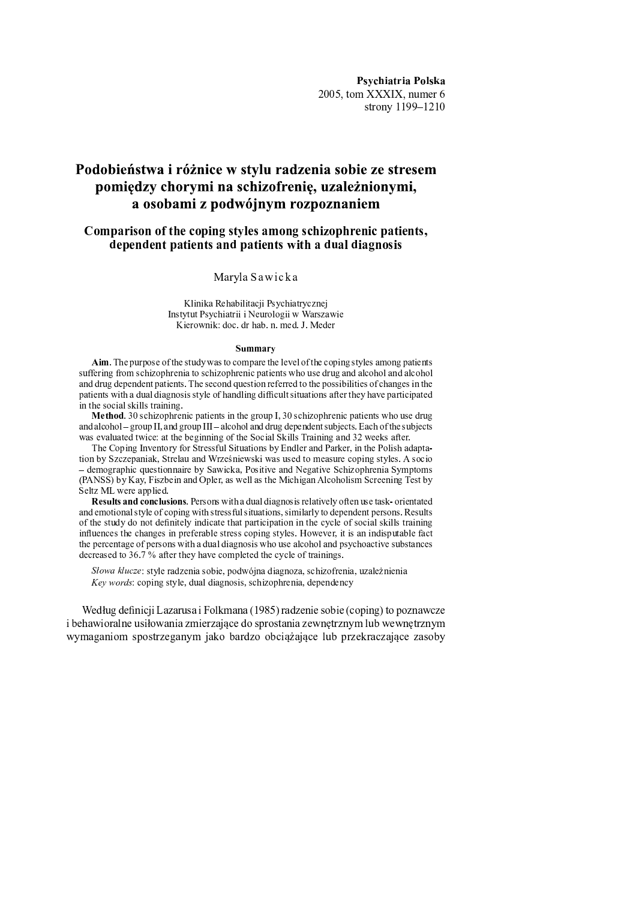Psychiatria Polska 2005, tom XXXIX, numer 6 strony 1199-1210

# Podobieństwa i różnice w stylu radzenia sobie ze stresem pomiędzy chorymi na schizofrenię, uzależnionymi, a osobami z podwójnym rozpoznaniem

# Comparison of the coping styles among schizophrenic patients. dependent patients and patients with a dual diagnosis

# Maryla Sawicka

Klinika Rehabilitacji Psychiatrycznej Instytut Psychiatrii i Neurologii w Warszawie Kierownik: doc. dr hab. n. med. J. Meder

#### **Summary**

Aim. The purpose of the study was to compare the level of the coping styles among patients suffering from schizophrenia to schizophrenic patients who use drug and alcohol and alcohol and drug dependent patients. The second question referred to the possibilities of changes in the patients with a dual diagnosis style of handling difficult situations after they have participated in the social skills training.

Method. 30 schizophrenic patients in the group I, 30 schizophrenic patients who use drug and alcohol - group II, and group III - alcohol and drug dependent subjects. Each of the subjects was evaluated twice: at the beginning of the Social Skills Training and 32 weeks after.

The Coping Inventory for Stressful Situations by Endler and Parker, in the Polish adaptation by Szczepaniak, Strelau and Wrześniewski was used to measure coping styles. A socio - demographic questionnaire by Sawicka, Positive and Negative Schizophrenia Symptoms (PANSS) by Kay, Fiszbein and Opler, as well as the Michigan Alcoholism Screening Test by Seltz ML were applied.

Results and conclusions. Persons with a dual diagnosis relatively often use task-orientated and emotional style of coping with stressful situations, similarly to dependent persons. Results of the study do not definitely indicate that participation in the cycle of social skills training influences the changes in preferable stress coping styles. However, it is an indisputable fact the percentage of persons with a dual diagnosis who use alcohol and psychoactive substances decreased to  $36.7\%$  after they have completed the cycle of trainings.

Słowa klucze: style radzenia sobie, podwójna diagnoza, schizofrenia, uzależnienia Key words: coping style, dual diagnosis, schizophrenia, dependency

Według definicji Lazarusa i Folkmana (1985) radzenie sobie (coping) to poznawcze i behawioralne usiłowania zmierzające do sprostania zewnętrznym lub wewnętrznym wymaganiom spostrzeganym jako bardzo obciążające lub przekraczające zasoby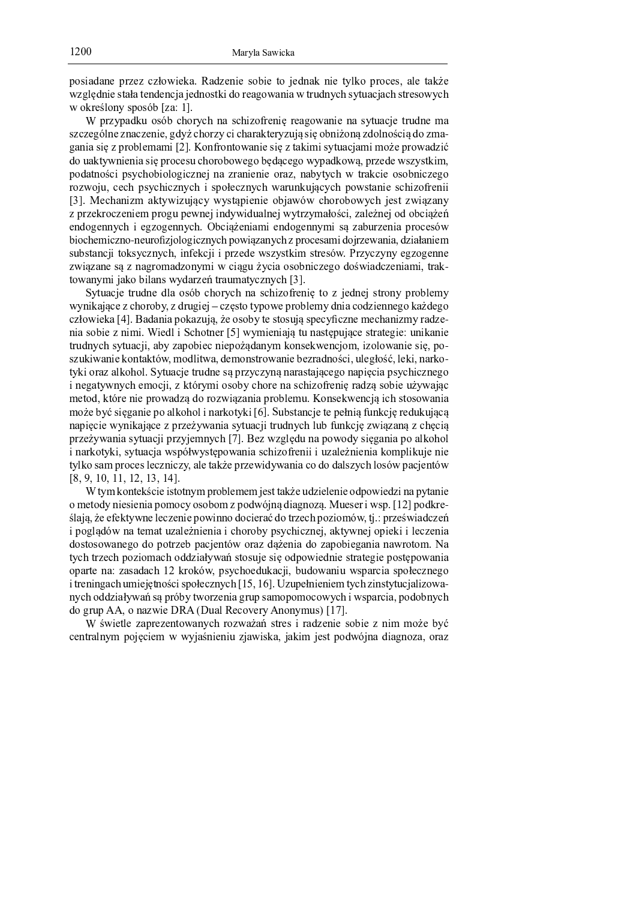posiadane przez człowieka. Radzenie sobie to jednak nie tylko proces, ale także względnie stała tendencja jednostki do reagowania w trudnych sytuacjach stresowych w określony sposób [za: 1].

W przypadku osób chorych na schizofrenię reagowanie na sytuacje trudne ma szczególne znaczenie, gdyż chorzy ci charakteryzują się obniżoną zdolnością do zmagania się z problemami [2]. Konfrontowanie się z takimi sytuacjami może prowadzić do uaktywnienia się procesu chorobowego będącego wypadkową, przede wszystkim, podatności psychobiologicznej na zranienie oraz, nabytych w trakcie osobniczego rozwoju, cech psychicznych i społecznych warunkujących powstanie schizofrenii [3]. Mechanizm aktywizujący wystąpienie objawów chorobowych jest związany z przekroczeniem progu pewnej indywidualnej wytrzymałości, zależnej od obciążeń endogennych i egzogennych. Obciążeniami endogennymi są zaburzenia procesów biochemiczno-neurofizjologicznych powiązanych z procesami dojrzewania, działaniem substancji toksycznych, infekcji i przede wszystkim stresów. Przyczyny egzogenne zwiazane sa z nagromadzonymi w ciągu życia osobniczego doświadczeniami, traktowanymi jako bilans wydarzeń traumatycznych [3].

Sytuacje trudne dla osób chorych na schizofrenie to z jednej strony problemy wynikające z choroby, z drugiej – często typowe problemy dnia codziennego każdego człowieka [4]. Badania pokazują, że osoby te stosują specyficzne mechanizmy radzenia sobie z nimi. Wiedl i Schotner [5] wymieniają tu następujące strategie: unikanie trudnych sytuacji, aby zapobiec niepożądanym konsekwencjom, izolowanie się, poszukiwanie kontaktów, modlitwa, demonstrowanie bezradności, uległość, leki, narkotyki oraz alkohol. Sytuacje trudne są przyczyną narastającego napięcia psychicznego i negatywnych emocji, z którymi osoby chore na schizofrenię radzą sobie używając metod, które nie prowadzą do rozwiązania problemu. Konsekwencją ich stosowania może być sięganie po alkohol i narkotyki [6]. Substancje te pełnią funkcję redukującą napięcie wynikające z przeżywania sytuacji trudnych lub funkcję związaną z chęcią przeżywania sytuacji przyjemnych [7]. Bez względu na powody sięgania po alkohol i narkotyki, sytuacja współwystępowania schizofrenii i uzależnienia komplikuje nie tylko sam proces leczniczy, ale także przewidywania co do dalszych losów pacjentów  $[8, 9, 10, 11, 12, 13, 14].$ 

W tym kontekście istotnym problemem jest także udzielenie odpowiedzi na pytanie o metody niesienia pomocy osobom z podwójną diagnozą. Mueser i wsp. [12] podkreślają, że efektywne leczenie powinno docierać do trzech poziomów, tj.: przeświadczeń i poglądów na temat uzależnienia i choroby psychicznej, aktywnej opieki i leczenia dostosowanego do potrzeb pacjentów oraz dażenia do zapobiegania nawrotom. Na tych trzech poziomach oddziaływań stosuje się odpowiednie strategie postępowania oparte na: zasadach 12 kroków, psychoedukacji, budowaniu wsparcia społecznego i treningach umiejętności społecznych [15, 16]. Uzupełnieniem tych zinstytucjalizowanych oddziaływań są próby tworzenia grup samopomocowych i wsparcia, podobnych do grup AA, o nazwie DRA (Dual Recovery Anonymus) [17].

W świetle zaprezentowanych rozważań stres i radzenie sobie z nim może być centralnym pojęciem w wyjaśnieniu zjawiska, jakim jest podwójna diagnoza, oraz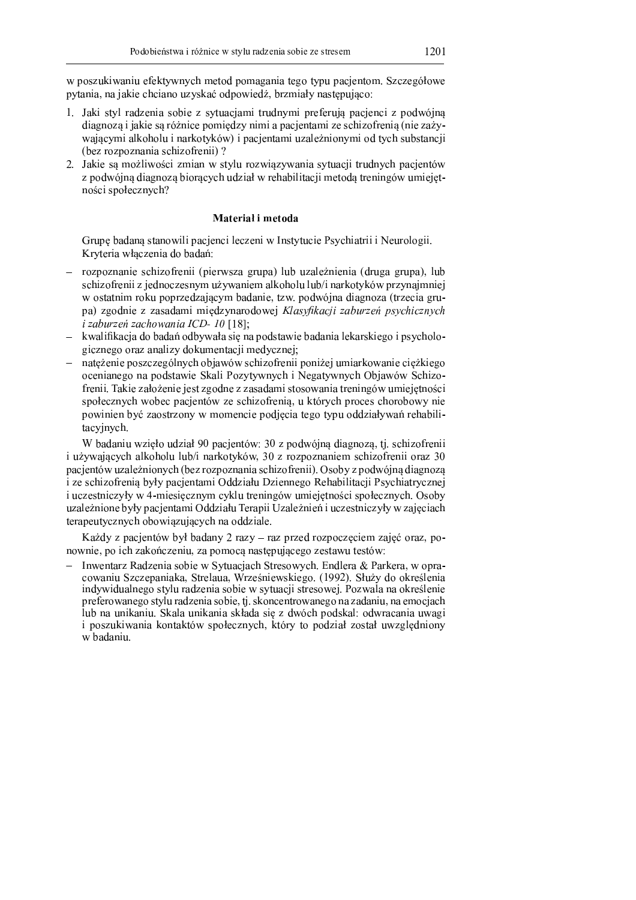w poszukiwaniu efektywnych metod pomagania tego typu pacjentom. Szczegółowe pytania, na jakie chciano uzyskać odpowiedź, brzmiały następująco:

- 1. Jaki styl radzenia sobie z sytuacjami trudnymi preferują pacjenci z podwójna diagnoza i jakie sa różnice pomiedzy nimi a pacjentami ze schizofrenia (nie zażywającymi alkoholu i narkotyków) i pacientami uzależnionymi od tych substancji (bez rozpoznania schizofrenii)?
- 2. Jakie są możliwości zmian w stylu rozwiązywania sytuacji trudnych pacjentów z podwójną diagnozą biorących udział w rehabilitacji metodą treningów umiejętności społecznych?

### Material i metoda

Grupę badaną stanowili pacjenci leczeni w Instytucie Psychiatrii i Neurologii. Kryteria właczenia do badań:

- rozpoznanie schizofrenii (pierwsza grupa) lub uzależnienia (druga grupa), lub schizofrenii z jednoczesnym używaniem alkoholu lub/i narkotyków przynajmniej w ostatnim roku poprzedzającym badanie, tzw. podwójna diagnoza (trzecia grupa) zgodnie z zasadami miedzynarodowej Klasyfikacji zaburzeń psychicznych *i zaburzeń zachowania ICD-10* [18];
- kwalifikacja do badań odbywała się na podstawie badania lekarskiego i psychologicznego oraz analizy dokumentacji medycznej;
- nateżenie poszczególnych objawów schizofrenii poniżej umiarkowanie cieżkiego ocenianego na podstawie Skali Pozytywnych i Negatywnych Objawów Schizofrenii. Takie założenie jest zgodne z zasadami stosowania treningów umiejętności społecznych wobec pacjentów ze schizofrenia, u których proces chorobowy nie powinien być zaostrzony w momencie podjecia tego typu oddziaływań rehabilitacyjnych.

W badaniu wzieło udział 90 pacientów; 30 z podwójna diagnoza, tj. schizofrenii i używających alkoholu lub/i narkotyków, 30 z rozpoznaniem schizofrenii oraz 30 pacjentów uzależnionych (bez rozpoznania schizofrenii). Osoby z podwójną diagnozą i ze schizofrenia były pacjentami Oddziału Dziennego Rehabilitacji Psychiatrycznej i uczestniczyły w 4-miesięcznym cyklu treningów umiejetności społecznych. Osoby uzależnione były pacjentami Oddziału Terapii Uzależnień i uczestniczyły w zajęciach terapeutycznych obowiazujących na oddziale.

Każdy z pacjentów był badany 2 razy - raz przed rozpoczęciem zajęć oraz, ponownie, po ich zakończeniu, za pomocą następującego zestawu testów:

- Inwentarz Radzenia sobie w Sytuacjach Stresowych. Endlera & Parkera, w opracowaniu Szczepaniaka, Strelaua, Wrześniewskiego. (1992). Służy do określenia indywidualnego stylu radzenia sobie w sytuacji stresowej. Pozwala na określenie preferowanego stylu radzenia sobie, tj. skoncentrowanego na zadaniu, na emocjach lub na unikaniu. Skala unikania składa się z dwóch podskal: odwracania uwagi i poszukiwania kontaktów społecznych, który to podział został uwzględniony w badaniu.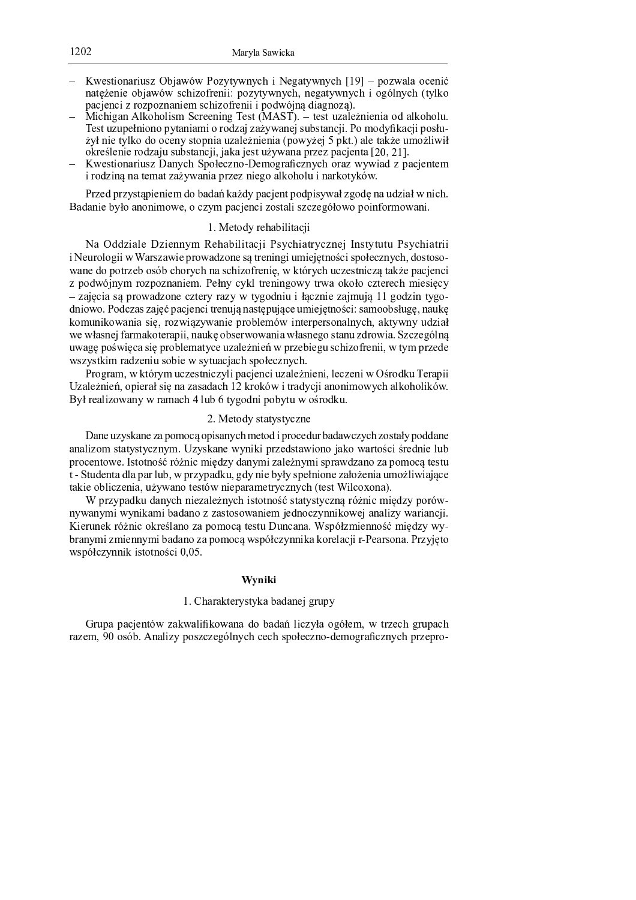- Kwestionariusz Objawów Pozytywnych i Negatywnych [19] pozwala ocenić natężenie objawów schizofrenii: pozytywnych, negatywnych i ogólnych (tylko pacienci z rozpoznaniem schizofrenii i podwójną diagnozą).
- Michigan Alkoholism Screening Test (MAST). test uzależnienia od alkoholu. Test uzupełniono pytaniami o rodzaj zażywanej substancji. Po modyfikacji posłużył nie tylko do oceny stopnia uzależnienia (powyżej 5 pkt.) ale także umożliwił określenie rodzaju substancji, jaka jest używana przez pacjenta [20, 21].
- Kwestionariusz Danych Społeczno-Demograficznych oraz wywiad z pacjentem i rodziną na temat zażywania przez niego alkoholu i narkotyków.

Przed przystąpieniem do badań każdy pacjent podpisywał zgodę na udział w nich. Badanie było anonimowe, o czym pacjenci zostali szczegółowo poinformowani.

# 1. Metody rehabilitacji

Na Oddziale Dziennym Rehabilitacji Psychiatrycznej Instytutu Psychiatrii i Neurologii w Warszawie prowadzone są treningi umiejętności społecznych, dostosowane do potrzeb osób chorych na schizofrenię, w których uczestniczą także pacjenci z podwójnym rozpoznaniem. Pełny cykl treningowy trwa około czterech miesięcy - zajęcia są prowadzone cztery razy w tygodniu i łącznie zajmują 11 godzin tygodniowo. Podczas zajęć pacjenci trenują następujące umiejętności: samoobsługę, naukę komunikowania się, rozwiązywanie problemów interpersonalnych, aktywny udział we własnej farmakoterapii, naukę obserwowania własnego stanu zdrowia. Szczególną uwagę poświęca się problematyce uzależnień w przebiegu schizofrenii, w tym przede wszystkim radzeniu sobie w sytuacjach społecznych.

Program, w którym uczestniczyli pacjenci uzależnieni, leczeni w Ośrodku Terapii Uzależnień, opierał się na zasadach 12 kroków i tradycji anonimowych alkoholików. Był realizowany w ramach 4 lub 6 tygodni pobytu w ośrodku.

### 2. Metody statystyczne

Dane uzyskane za pomocą opisanych metod i procedur badawczych zostały poddane analizom statystycznym. Uzyskane wyniki przedstawiono jako wartości średnie lub procentowe. Istotność różnic między danymi zależnymi sprawdzano za pomocą testu t - Studenta dla par lub, w przypadku, gdy nie były spełnione założenia umożliwiające takie obliczenia, używano testów nieparametrycznych (test Wilcoxona).

W przypadku danych niezależnych istotność statystyczną różnic między porównywanymi wynikami badano z zastosowaniem jednoczynnikowej analizy wariancji. Kierunek różnic określano za pomocą testu Duncana. Współzmienność między wybranymi zmiennymi badano za pomocą współczynnika korelacji r-Pearsona. Przyjęto współczynnik istotności 0,05.

# Wvniki

# 1. Charakterystyka badanej grupy

Grupa pacjentów zakwalifikowana do badań liczyła ogółem, w trzech grupach razem, 90 osób. Analizy poszczególnych cech społeczno-demograficznych przepro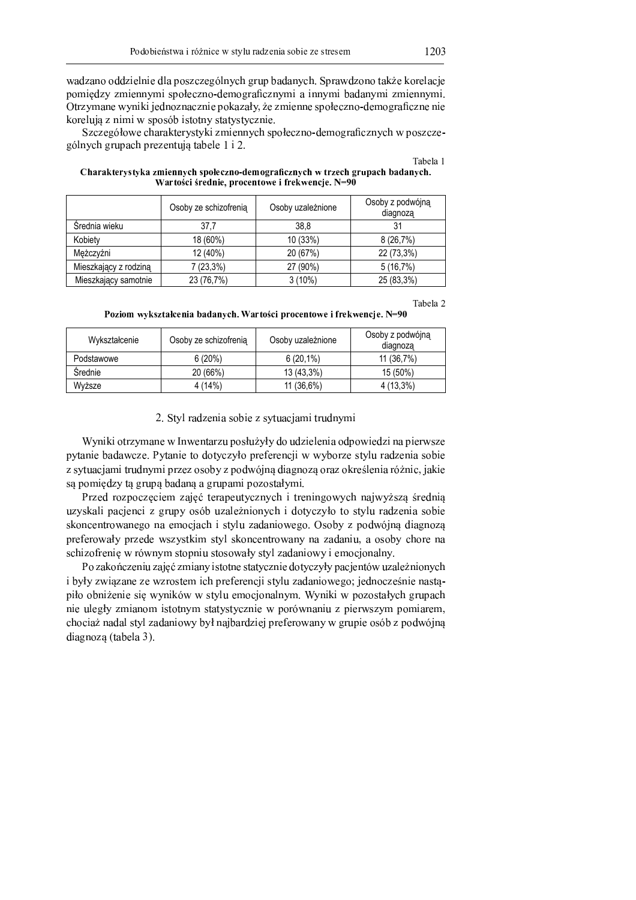wadzano oddzielnie dla poszczególnych grup badanych. Sprawdzono także korelacie ia o jaai o ë fitti. Fijaai o ja jartijaai, gia o ko o fijaaa o guidh o fijaatijaai, o ji jaaa tijaai, daar o jaan tijaai o jaan tijaai o jaan tijaai o jaan tijaai o jaan tijaai o jaan tijaai o jaan tijaai o jaan tijaai o  $\alpha$ korelują z nimi w sposób istotny statystycznie.

À fio fio o lo trio, o lân an il frontite il francia a a tro lâ da o bo offato. Aloanno di offatio lâ tri ano difio fio  $\alpha$ é leuch seus ook negaantuis taksla $\beta$ 

|                       | Osoby ze schizofrenia | Osoby uzależnione | Osoby z podwójną<br>diagnoza |
|-----------------------|-----------------------|-------------------|------------------------------|
| Srednia wieku         | 37,7                  | 38.8              | 31                           |
| Kobiety               | 18 (60%)              | 10 (33%)          | 8(26,7%)                     |
| Meżczyźni             | 12 (40%)              | 20 (67%)          | 22 (73,3%)                   |
| Mieszkający z rodziną | 7(23,3%)              | 27 (90%)          | 5(16,7%)                     |
| Mieszkający samotnie  | 23 (76,7%)            | $3(10\%)$         | 25 (83,3%)                   |

| Charakterystyka zmiennych społeczno-demograficznych w trzech grupach badanych. |
|--------------------------------------------------------------------------------|
| Wartości średnie, procentowe i frekwencje. N=90                                |

Tabela 2

Poziom wykształcenia badanych. Wartości procentowe i frekwencie. N=9

| Wykształcenie | Osoby ze schizofrenia | Osoby uzależnione | Osoby z podwójną<br>diagnoza |
|---------------|-----------------------|-------------------|------------------------------|
| Podstawowe    | 6(20%)                | $6(20,1\%)$       | 11 (36,7%)                   |
| Srednie       | 20 (66%)              | 13 (43,3%)        | 15 (50%)                     |
| Wyższe        | 4(14%)                | 11 (36,6%)        | $4(13,3\%)$                  |

 $\Omega$  . Ctyl no dramin salain restruacionai tuu duxma

Wymilsi o twy weare yn Inwantawy nachyżyky do udziałania o duowio dzi na niemycz pytanie badawcze. Pytanie to dotyczyło preferencji w wyborze stylu radzenia sobie z sytuacjami trudnymi przez osoby z podwójną diagnozą oraz określenia różnic, jakie są pomiędzy tą grupą badaną a grupami pozostałymi.

Przed rozpoczęciem zajęć terapeutycznych i treningowych najwyższą średnią uzyskali pacjenci z grupy osób uzależnionych i dotyczyło to stylu radzenia sobie  $\alpha$ is neantrowenege ne emergiech i otrly vedeniewege. Oseky v nedwišine diegnez preferowały przede wszystkim styl skoncentrowany na zadaniu, a osoby chore na schizofrenię w równym stopniu stosowały styl zadaniowy i emocjonalny.

Po zakończeniu zajęć zmiany istotne statycznie dotyczyły pacjentów uzależnionych ì jariki giriagaan ga iigadatan in û martaman di aktiv galaman din bo û û û da û û da û û û û û û û da <sup>ï</sup> <sup>ì</sup> <sup>ë</sup> <sup>ë</sup> <sup>ø</sup> <sup>ê</sup> <sup>ì</sup> <sup>ý</sup> <sup>í</sup> <sup>ê</sup> <sup>ì</sup> <sup>í</sup> <sup>ð</sup> <sup>ì</sup> <sup>æ</sup> <sup>ô</sup> <sup>ê</sup> <sup>ì</sup> <sup>ü</sup> <sup>ó</sup> <sup>æ</sup> <sup>æ</sup> <sup>ð</sup> <sup>û</sup> <sup>ô</sup> <sup>î</sup> <sup>÷</sup> <sup>í</sup> <sup>ÿ</sup> <sup>ë</sup> <sup>ñ</sup> <sup>þ</sup> <sup>ë</sup> <sup>ê</sup> <sup>ç</sup> <sup>î</sup> <sup>ê</sup> <sup>ô</sup> <sup>ÿ</sup> <sup>ù</sup> - <sup>ô</sup> <sup>ê</sup> <sup>ì</sup> <sup>ü</sup> <sup>ì</sup> <sup>æ</sup> <sup>ï</sup> <sup>ë</sup> <sup>é</sup> <sup>ë</sup> <sup>ð</sup> <sup>û</sup> <sup>ç</sup> <sup>ô</sup> <sup>ñ</sup> <sup>õ</sup> <sup>ò</sup> <sup>ö</sup> <sup>÷</sup> <sup>ï</sup> <sup>ç</sup> <sup>ñ</sup> <sup>õ</sup> nie uległy zmianom istotnym statystycznie w porównaniu z pierwszym pomiarem, chociaż nadal styl zadaniowy był najbardziej preferowany w grupie osób z podwójną  $diages$  (tobala  $2\lambda$ 

Tabela 1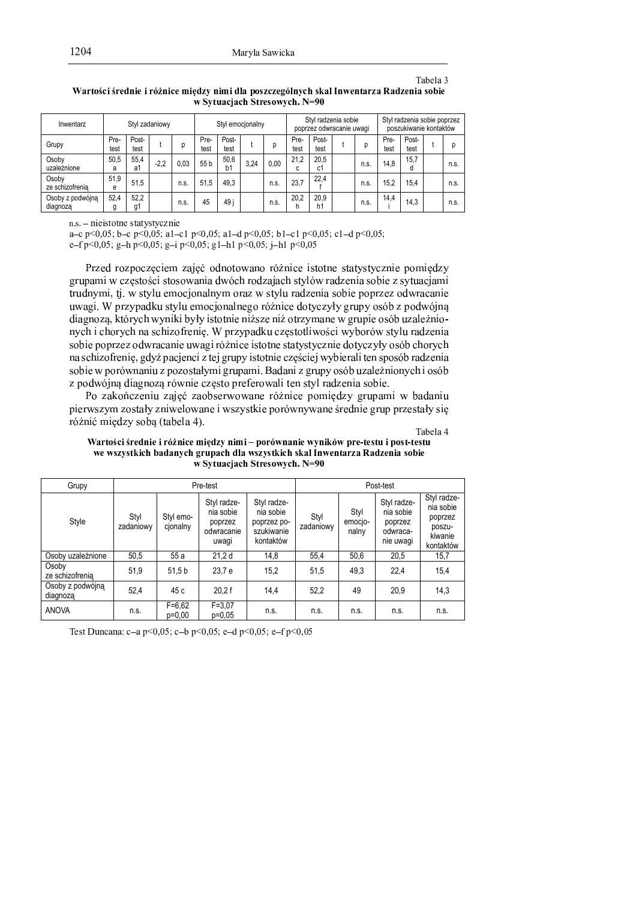Tabela 3

| Inwentarz                    |              |               | Styl zadaniowy |      | Styl emocjonalny |               |      | Styl radzenia sobie<br>poprzez odwracanie uwagi |              |               | Styl radzenia sobie poprzez<br>poszukiwanie kontaktów |      |              |               |  |      |
|------------------------------|--------------|---------------|----------------|------|------------------|---------------|------|-------------------------------------------------|--------------|---------------|-------------------------------------------------------|------|--------------|---------------|--|------|
| Grupy                        | Pre-<br>test | Post-<br>test |                | р    | Pre-<br>test     | Post-<br>test |      | р                                               | Pre-<br>test | Post-<br>test |                                                       | D    | Pre-<br>test | Post-<br>test |  |      |
| Osoby<br>uzależnione         | 50.5<br>a    | 55.4<br>a1    | $-2.2$         | 0.03 | 55 b             | 50.6<br>b1    | 3.24 | 0.00                                            | 21.2<br>c    | 20.5<br>c1    |                                                       | n.s. | 14.8         | 15.7<br>a     |  | n.s. |
| Osoby<br>ze schizofrenia     | 51,9<br>e    | 51.5          |                | n.s. | 51.5             | 49.3          |      | n.s.                                            | 23.7         | 22.4          |                                                       | n.s. | 15,2         | 15.4          |  | n.s. |
| Osoby z podwójną<br>diagnoza | 52.4         | 52.2<br>g1    |                | n.s. | 45               | 49 i          |      | n.s.                                            | 20.2<br>h    | 20,9<br>h1    |                                                       | n.s. | 14.4         | 14.3          |  | n.s. |

Wartości średnie i różnice między nimi dla poszczególnych skal Inwentarza Radzenia sobie w Sytuacjach Stresowych. N=90

n e prioratore eternetuazoi

 $\sim 0.05$  k  $\sim 0.05$  e  $\sim 1.07$   $\sim 0.05$  e  $\sim 1.05$   $\sim 0.05$  k  $\sim 1.05$  e  $\sim 0.05$ 

 $\sim$  f n  $\sim$  0.05  $\sim$  0.05  $\sim$  i n  $\sim$  0.05  $\sim$  1. b 1 n  $\sim$  0.05  $\sim$  b 1 n  $\sim$  0.00

Przed rozpoczęciem zajęć odnotowano różnice istotne statystycznie pomiędzy zunami uz eretećsi eteeovinnie dućele nedraje le trićur nedranje eskie z artueciem trudnymi, tj. w stylu emocjonalnym oraz w stylu radzenia sobie poprzez odwracanie wys ai W www.adluu styly smeesianalmaas námisa datysmyky amwy saák z nadwiin  $\vec{a}$ nych i chorych na schizofrenię. W przypadku częstotliwości wyborów stylu radzenia zakie wsporze odrywogonie wrzegiu śrieże istotuczyta statyszeń dotyczyły osók okonycz  $\mathbf{a}$  a solving from in a sherize a sign of  $\pi$  to increase into true on a solving exploiting the second products.  $\mathbf{z}$  $\sigma$  s a durá ina dia ana na náumia, araata muafanausali tan atri na dramia, aalsia.

 $\mathbf{D}_{\alpha}$  religion projective substant proposed in  $\mathbf{\dot{a}}$  in a manipular company we hadow  $\kappa$  i awrecense a gataly animal arrang i regretting nanárom vrtana ánadnia, amen nezadaly si <sup>F</sup> <sup>V</sup> <sup>W</sup> <sup>S</sup> <sup>N</sup> <sup>R</sup> <sup>O</sup> <sup>N</sup> <sup>M</sup> <sup>I</sup> <sup>G</sup> <sup>Y</sup> <sup>X</sup> <sup>J</sup> \_ <sup>e</sup> <sup>j</sup> <sup>T</sup> <sup>P</sup> \_ <sup>H</sup> ^ <sup>P</sup> <sup>D</sup> <sup>k</sup> <sup>a</sup>

Tabela 4

| Wartości średnie i różnice między nimi – porównanie wyników pre-testu i post-testu |
|------------------------------------------------------------------------------------|
| we wszystkich badanych grupach dla wszystkich skal Inwentarza Radzenia sobie       |
| w Sytuacjach Stresowych. N=90                                                      |

| Grupy                        |                   | Pre-test               | Post-test                                                  |                                                                    |                   |                          |                                                              |                                                                       |
|------------------------------|-------------------|------------------------|------------------------------------------------------------|--------------------------------------------------------------------|-------------------|--------------------------|--------------------------------------------------------------|-----------------------------------------------------------------------|
| Style                        | Styl<br>zadaniowy | Styl emo-<br>cjonalny  | Styl radze-<br>nia sobie<br>poprzez<br>odwracanie<br>uwagi | Styl radze-<br>nia sobie<br>poprzez po-<br>szukiwanie<br>kontaktów | Styl<br>zadaniowy | Styl<br>emocio-<br>nalny | Styl radze-<br>nia sobie<br>poprzez<br>odwraca-<br>nie uwagi | Styl radze-<br>nia sobie<br>poprzez<br>poszu-<br>kiwanie<br>kontaktów |
| Osoby uzależnione            | 50,5              | 55 a                   | 21,2d                                                      | 14.8                                                               | 55.4              | 50,6                     | 20,5                                                         | 15,7                                                                  |
| Osoby<br>ze schizofrenia     | 51,9              | 51.5 <sub>b</sub>      | 23.7 e                                                     | 15.2                                                               | 51.5              | 49.3                     | 22.4                                                         | 15,4                                                                  |
| Osoby z podwójną<br>diagnoza | 52,4              | 45 c                   | 20.2 f                                                     | 14.4                                                               | 52.2              | 49                       | 20.9                                                         | 14,3                                                                  |
| <b>ANOVA</b>                 | n.s.              | $F = 6,62$<br>$p=0,00$ | $F = 3.07$<br>$p=0,05$                                     | n.s.                                                               | n.s.              | n.s.                     | n.s.                                                         | n.s.                                                                  |

 $\frac{\Gamma_{\text{out}}}{\Gamma_{\text{out}}}$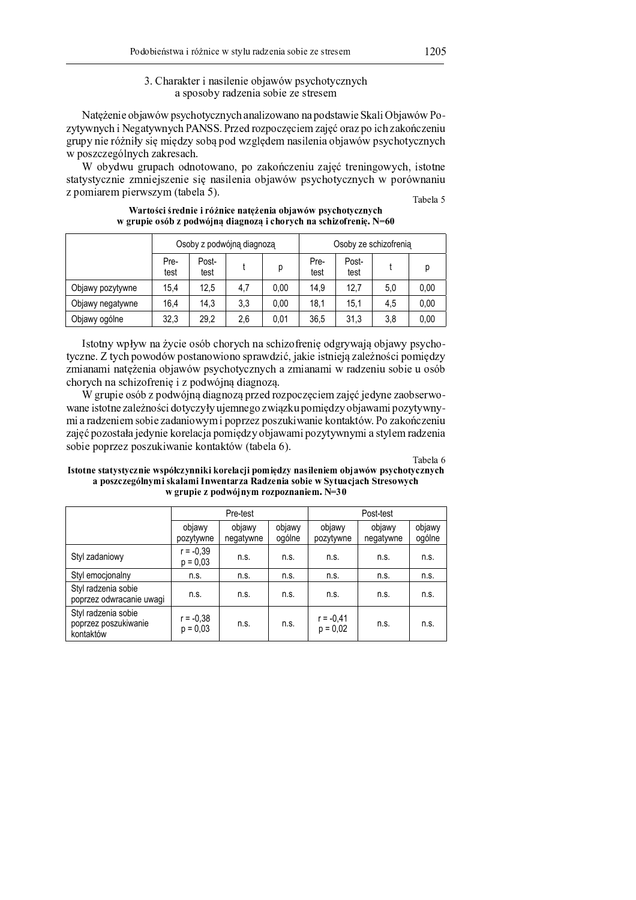# 3. Charakter i nasilenie objawów psychotycznych a sposoby radzenia sobie ze stresem

Natężenie objawów psychotycznych analizowano na podstawie Skali Objawów Pozytywnych i Negatywnych PANSS. Przed rozpoczęciem zajęć oraz po ich zakończeniu grupy nie różniły się między sobą pod względem nasilenia objawów psychotycznych w poszczególnych zakresach.

W obydwu grupach odnotowano, po zakończeniu zajęć treningowych, istotne statystycznie zmniejszenie się nasilenia objawów psychotycznych w porównaniu z pomiarem pierwszym (tabela 5).

Tabela 5

|                  |              | Osoby z podwójną diagnozą |     |      | Osoby ze schizofrenia |               |     |      |  |
|------------------|--------------|---------------------------|-----|------|-----------------------|---------------|-----|------|--|
|                  | Pre-<br>test | Post-<br>test             |     | р    | Pre-<br>test          | Post-<br>test |     | D    |  |
| Objawy pozytywne | 15,4         | 12.5                      | 4,7 | 0,00 | 14,9                  | 12.7          | 5,0 | 0,00 |  |
| Objawy negatywne | 16,4         | 14,3                      | 3,3 | 0.00 | 18,1                  | 15.1          | 4,5 | 0,00 |  |
| Objawy ogólne    | 32,3         | 29,2                      | 2,6 | 0.01 | 36,5                  | 31,3          | 3,8 | 0,00 |  |

Wartości średnie i różnice natężenia objawów psychotycznych w grupie osób z podwójną diagnozą i chorych na schizofrenię. N=60

Istotny wpływ na życie osób chorych na schizofrenię odgrywają objawy psychotyczne. Z tych powodów postanowiono sprawdzić, jakie istnieją zależności pomiędzy zmianami natężenia objawów psychotycznych a zmianami w radzeniu sobie u osób chorych na schizofrenie i z podwójną diagnozą.

W grupie osób z podwójną diagnozą przed rozpoczęciem zajęć jedyne zaobserwowane istotne zależności dotyczyły ujemnego związku pomiędzy objawami pozytywnymi a radzeniem sobie zadaniowym i poprzez poszukiwanie kontaktów. Po zakończeniu zajęć pozostała jedynie korelacja pomiędzy objawami pozytywnymi a stylem radzenia sobie poprzez poszukiwanie kontaktów (tabela 6).

Tabela 6

### Istotne statystycznie współczynniki korelacji pomiędzy nasileniem objawów psychotycznych a poszczególnymi skalami Inwentarza Radzenia sobie w Sytuacjach Stresowych w grupie z podwójnym rozpoznaniem. N=30

|                                                          |                           | Pre-test            |                  | Post-test               |                     |                  |  |
|----------------------------------------------------------|---------------------------|---------------------|------------------|-------------------------|---------------------|------------------|--|
|                                                          | objawy<br>pozytywne       | objawy<br>negatywne | objawy<br>ogólne | objawy<br>pozytywne     | objawy<br>negatywne | objawy<br>ogólne |  |
| Styl zadaniowy                                           | $r = -0.39$<br>$p = 0.03$ | n.s.                | n.S.             | n.s.                    | n.s.                | n.s.             |  |
| Styl emocionalny                                         | n.s.                      | n.s.                | n.s.             | n.s.                    | n.s.                | n.s.             |  |
| Styl radzenia sobie<br>poprzez odwracanie uwagi          | n.s.                      | n.s.                | n.s.             | n.s.                    | n.s.                | n.s.             |  |
| Styl radzenia sobie<br>poprzez poszukiwanie<br>kontaktów | $r = -0.38$<br>$p = 0.03$ | n.s.                | n.s.             | r = -0,41<br>$p = 0.02$ | n.s.                | n.s.             |  |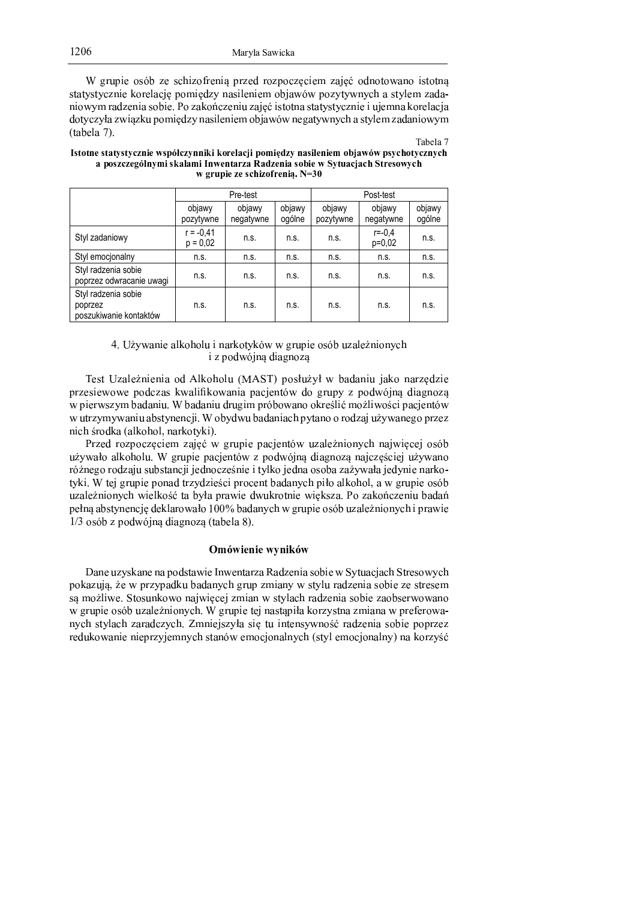W grupie osób ze schizofrenia przed rozpoczęciem zajęć odnotowano istotną statystycznie korelacje pomiedzy nasileniem objawów pozytywnych a stylem zadaniowym radzenia sobie. Po zakończeniu zajęć istotna statystycznie i ujemna korelacja dotyczyła związku pomiędzy nasileniem objawów negatywnych a stylem zadaniowym OF BRIDGE IN THE SERVICE IS A RELEASED FOR DESCRIPTION OF BRIDGE IN THE SERVICE IS A RELEASED FOR DESCRIPTION OF

Tabela 7

| Istotne statystycznie współczynniki korelacji pomiędzy nasileniem objawów psychotycznych |
|------------------------------------------------------------------------------------------|
| a poszczególnymi skalami Inwentarza Radzenia sobie w Sytuaciach Stresowych               |
| w grupie ze schizofrenia. N=30                                                           |

|                                                          |                           | Pre-test            |                  | Post-test           |                        |                  |  |
|----------------------------------------------------------|---------------------------|---------------------|------------------|---------------------|------------------------|------------------|--|
|                                                          | objawy<br>pozytywne       | objawy<br>negatywne | objawy<br>ogólne | objawy<br>pozytywne | objawy<br>negatywne    | objawy<br>ogólne |  |
| Styl zadaniowy                                           | $r = -0.41$<br>$p = 0.02$ | n.s.                | n.s.             | n.s.                | $r = -0.4$<br>$p=0,02$ | n.s.             |  |
| Styl emocjonalny                                         | n.s.                      | n.s.                | n.s.             | n.s.                | n.s.                   | n.s.             |  |
| Styl radzenia sobie<br>poprzez odwracanie uwagi          | n.s.                      | n.s.                | n.s.             | n.s.                | n.s.                   | n.s.             |  |
| Styl radzenia sobie<br>poprzez<br>poszukiwanie kontaktów | n.s.                      | n.s.                | n.S.             | n.s.                | n.S.                   | n.s.             |  |

#### <sup>y</sup> <sup>K</sup> <sup>z</sup> { <sup>G</sup> <sup>F</sup> <sup>B</sup> <sup>=</sup> <sup>3</sup> <sup>4</sup> <sup>B</sup> <sup>I</sup> <sup>H</sup> <sup>5</sup> ; <sup>5</sup> <sup>I</sup> <sup>1</sup> <sup>3</sup> <sup>=</sup> <sup>B</sup> <sup>0</sup> <sup>H</sup> <sup>5</sup> <sup>E</sup> <sup>G</sup> <sup>H</sup> <sup>7</sup> <sup>F</sup> <sup>F</sup> / <sup>0</sup> <sup>1</sup> <sup>2</sup> <sup>3</sup> <sup>4</sup> <sup>5</sup> <sup>6</sup> <sup>7</sup> <sup>8</sup> <sup>1</sup> <sup>9</sup> <sup>B</sup> <sup>I</sup> <sup>4</sup> { <sup>=</sup> <sup>3</sup> <sup>5</sup> <sup>=</sup> <sup>G</sup> : ; i z podwójną diagnozą

<sup>|</sup> <sup>4</sup> <sup>6</sup> <sup>E</sup> <sup>z</sup> <sup>9</sup> <sup>B</sup> <sup>I</sup> <sup>4</sup> { <sup>=</sup> <sup>3</sup> <sup>4</sup> <sup>=</sup> <sup>3</sup> <sup>B</sup> <sup>5</sup> ? } <sup>I</sup> <sup>H</sup> <sup>5</sup> ; <sup>5</sup> <sup>I</sup> <sup>1</sup> <sup>O</sup> <sup>~</sup> } <sup>|</sup> <sup>Q</sup> <sup>2</sup> <sup>5</sup> <sup>6</sup> <sup>N</sup> <sup>1</sup> { <sup>G</sup> <sup>N</sup> <sup>F</sup> <sup>8</sup> <sup>B</sup> ? <sup>B</sup> <sup>=</sup> <sup>3</sup> <sup>1</sup> <sup>C</sup> <sup>B</sup> <sup>H</sup> <sup>5</sup> <sup>=</sup> <sup>B</sup> <sup>0</sup> <sup>9</sup> @ ? <sup>9</sup> <sup>3</sup> <sup>4</sup> przesiewowe podczas kwalifikowania pacjentów do grupy z podwójna diagnoza w pierwszym badaniu. W badaniu drugim próbowano określić możliwości pacjentów w utrzymywaniu abstynencji. W obydwu badaniach pytano o rodzaj używanego przez <sup>=</sup> <sup>3</sup> : ; <sup>0</sup> <sup>5</sup> ? <sup>H</sup> <sup>B</sup> <sup>O</sup> <sup>B</sup> <sup>I</sup> <sup>H</sup> <sup>5</sup> ; <sup>5</sup> <sup>I</sup> <sup>=</sup> <sup>B</sup> <sup>0</sup> <sup>H</sup> <sup>5</sup> <sup>E</sup> <sup>G</sup> <sup>H</sup> <sup>3</sup> <sup>Q</sup> <sup>K</sup>

Przed rozpoczęciem zajęć w grupie pacjentów uzależnionych najwięcej osób używało alkoholu. W grupie pacjentów z podwójną diagnozą najczęściej używano różnego rodzaju substancji jednocześnie i tylko jedna osoba zażywała jedynie narkotyki. W tej grupie ponad trzydzieści procent badanych piło alkohol, a w grupie osób uzależnionych wielkość ta była prawie dwukrotnie większa. Po zakończeniu badań <sup>2</sup> <sup>4</sup> <sup>N</sup> <sup>=</sup> <sup>&</sup>gt; <sup>B</sup> <sup>8</sup> <sup>6</sup> <sup>E</sup> <sup>G</sup> <sup>=</sup> <sup>4</sup> <sup>=</sup> : <sup>C</sup> @ ? <sup>4</sup> <sup>H</sup> <sup>I</sup> <sup>B</sup> <sup>0</sup> <sup>5</sup> <sup>F</sup> <sup>B</sup> <sup>N</sup> <sup>5</sup> \* , , <sup>8</sup> <sup>B</sup> ? <sup>B</sup> <sup>=</sup> <sup>G</sup> : ; <sup>F</sup> / <sup>0</sup> <sup>1</sup> <sup>2</sup> <sup>3</sup> <sup>4</sup> <sup>5</sup> <sup>6</sup> <sup>7</sup> <sup>8</sup> <sup>1</sup> <sup>9</sup> <sup>B</sup> <sup>I</sup> <sup>4</sup> { <sup>=</sup> <sup>3</sup> <sup>5</sup> <sup>=</sup> <sup>G</sup> : ; <sup>3</sup> <sup>2</sup> <sup>0</sup> <sup>B</sup> <sup>F</sup> <sup>3</sup> <sup>4</sup> \* <sup>5</sup> <sup>6</sup> <sup>7</sup> <sup>8</sup> <sup>9</sup> <sup>2</sup> <sup>5</sup> ? <sup>F</sup> <sup>7</sup> <sup>C</sup> <sup>=</sup> <sup>&</sup>gt; ? <sup>3</sup> <sup>B</sup> / <sup>=</sup> <sup>5</sup> <sup>9</sup> <sup>&</sup>gt; <sup>O</sup> <sup>E</sup> <sup>B</sup> <sup>8</sup> <sup>4</sup> <sup>I</sup> <sup>B</sup> <sup>Q</sup> <sup>K</sup>

## Omówienie wyników

Dane uzyskane na podstawie Inwentarza Radzenia sobie w Sytuacjach Stresowych pokazuja, że w przypadku badanych grup zmiany w stylu radzenia sobie ze stresem są możliwe. Stosunkowo najwięcej zmian w stylach radzenia sobie zaobserwowano w grupie osób uzależnionych. W grupie tej nastąpiła korzystna zmiana w preferowanych stylach zaradczych. Zmniejszyła się tu intensywność radzenia sobie poprzez <sup>0</sup> <sup>4</sup> ? <sup>1</sup> <sup>H</sup> <sup>5</sup> <sup>F</sup> <sup>B</sup> <sup>=</sup> <sup>3</sup> <sup>4</sup> <sup>=</sup> <sup>3</sup> <sup>4</sup> <sup>2</sup> <sup>0</sup> <sup>9</sup> <sup>G</sup> <sup>C</sup> <sup>4</sup> <sup>A</sup> <sup>=</sup> <sup>G</sup> : ; <sup>6</sup> <sup>E</sup> <sup>B</sup> <sup>=</sup> <sup>7</sup> <sup>F</sup> <sup>4</sup> <sup>A</sup> <sup>5</sup> : <sup>C</sup> <sup>5</sup> <sup>=</sup> <sup>B</sup> <sup>I</sup> <sup>=</sup> <sup>G</sup> : ; <sup>O</sup> <sup>6</sup> <sup>E</sup> <sup>G</sup> <sup>I</sup> <sup>4</sup> <sup>A</sup> <sup>5</sup> : <sup>C</sup> <sup>5</sup> <sup>=</sup> <sup>B</sup> <sup>I</sup> <sup>=</sup> <sup>G</sup> <sup>Q</sup> <sup>=</sup> <sup>B</sup> <sup>H</sup> <sup>5</sup> <sup>0</sup> <sup>9</sup> <sup>G</sup> <sup>D</sup>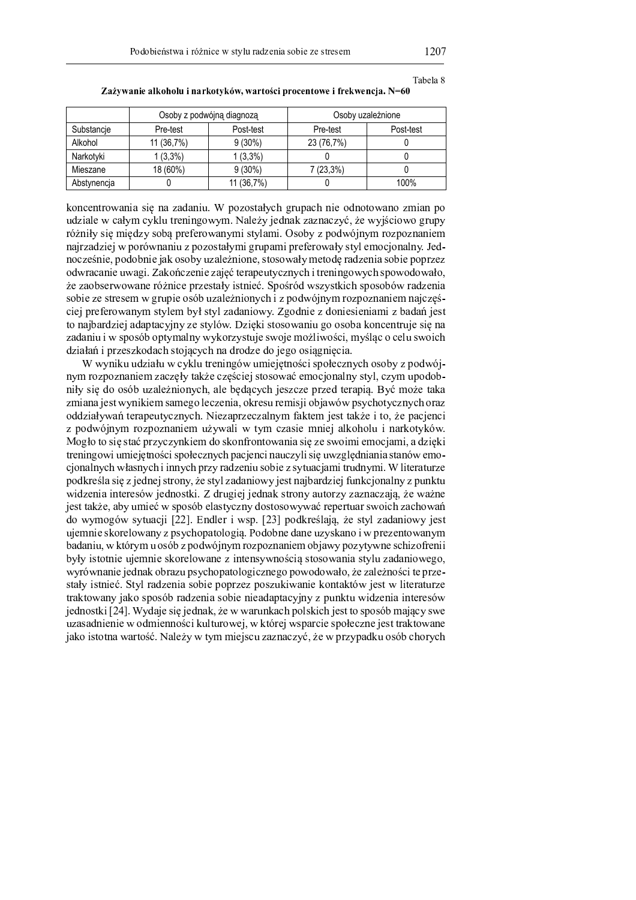|             |            | Osoby z podwójną diagnozą | Osoby uzależnione |           |  |  |  |
|-------------|------------|---------------------------|-------------------|-----------|--|--|--|
| Substancje  | Pre-test   | Post-test                 | Pre-test          | Post-test |  |  |  |
| Alkohol     | 11 (36,7%) | $9(30\%)$                 | 23 (76,7%)        |           |  |  |  |
| Narkotyki   | $1(3,3\%)$ | $1(3,3\%)$                |                   |           |  |  |  |
| Mieszane    | 18 (60%)   | $9(30\%)$                 | 7 (23,3%)         |           |  |  |  |
| Abstynencja |            | 11 (36,7%)                |                   | 100%      |  |  |  |

Tabela 8

Zażywanie alkoholu i narkotyków, wartości procentowe i frekwencja. N=60

koncentrowania się na zadaniu. W pozostałych grupach nie odnotowano zmian po udziale w całym cyklu treningowym. Należy jednak zaznaczyć, że wyjściowo grupy różniły się między sobą preferowanymi stylami. Osoby z podwójnym rozpoznaniem najrzadziej w porównaniu z pozostałymi grupami preferowały styl emocjonalny. Jednocześnie, podobnie jak osoby uzależnione, stosowały metodę radzenia sobie poprzez odwracanie uwagi. Zakończenie zajęć terapeutycznych i treningowych spowodowało, że zaobserwowane różnice przestały istnieć. Spośród wszystkich sposobów radzenia sobie ze stresem w grupie osób uzależnionych i z podwójnym rozpoznaniem najczęściej preferowanym stylem był styl zadaniowy. Zgodnie z doniesieniami z badań jest to najbardziej adaptacyjny ze stylów. Dzięki stosowaniu go osoba koncentruje się na zadaniu i w sposób optymalny wykorzystuje swoje możliwości, myśląc o celu swoich działań i przeszkodach stojących na drodze do jego osiągnięcia.

W wyniku udziału w cyklu treningów umiejętności społecznych osoby z podwójnym rozpoznaniem zaczęły także częściej stosować emocjonalny styl, czym upodobniły się do osób uzależnionych, ale będących jeszcze przed terapią. Być może taka zmiana jest wynikiem samego leczenia, okresu remisji objawów psychotycznych oraz oddziaływań terapeutycznych. Niezaprzeczalnym faktem jest także i to, że pacjenci z podwójnym rozpoznaniem używali w tym czasie mniej alkoholu i narkotyków. Mogło to się stać przyczynkiem do skonfrontowania się ze swoimi emocjami, a dzięki treningowi umiejętności społecznych pacjenci nauczyli się uwzględniania stanów emocjonalnych własnych i innych przy radzeniu sobie z sytuacjami trudnymi. W literaturze podkreśla się z jednej strony, że styl zadaniowy jest najbardziej funkcjonalny z punktu widzenia interesów jednostki. Z drugiej jednak strony autorzy zaznaczają, że ważne jest także, aby umieć w sposób elastyczny dostosowywać repertuar swoich zachowań do wymogów sytuacji [22]. Endler i wsp. [23] podkreślają, że styl zadaniowy jest ujemnie skorelowany z psychopatologią. Podobne dane uzyskano i w prezentowanym badaniu, w którym u osób z podwójnym rozpoznaniem objawy pozytywne schizofrenii były istotnie ujemnie skorelowane z intensywnością stosowania stylu zadaniowego, wyrównanie jednak obrazu psychopatologicznego powodowało, że zależności te przestały istnieć. Styl radzenia sobie poprzez poszukiwanie kontaktów jest w literaturze traktowany jako sposób radzenia sobie nieadaptacyjny z punktu widzenia interesów jednostki [24]. Wydaje się jednak, że w warunkach polskich jest to sposób mający swe uzasadnienie w odmienności kulturowej, w której wsparcie społeczne jest traktowane jako istotna wartość. Należy w tym miejscu zaznaczyć, że w przypadku osób chorych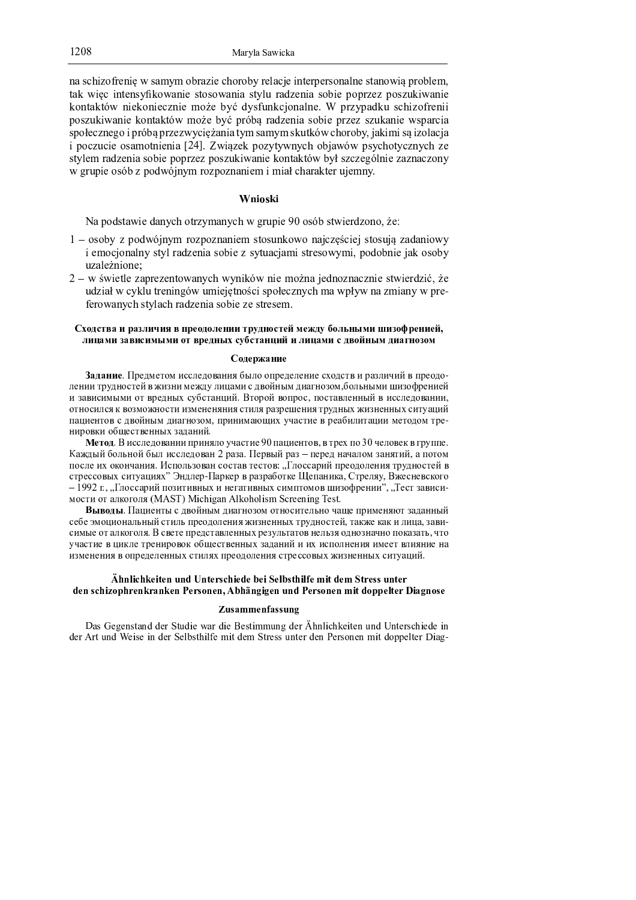anis series industry and least the series and controlled the series well be a series of the series of the series kontaktów niekoniecznie może być dysfunkcionalne. W przypadku schizofreni a o gruitarro as o ito atoitto ur sa o mo la ro sasolao suo grossao colaso sastore gruitossao urgas osos. as a la arma a mai sistema sen armanica a passo. En usa anisanzia almanicante als asalare salvissas ao stadio as  !  \* <sup>+</sup> , & -  #    atticas en decesio acióin e celerar e cartifittos italistatividati istilaren amatolesio energenerati IT GARIALA O O O N. T. ALO GITTOLARIANA AO TALO TA GALLOAN A ANALO NA GALIEROA ILIOANAIT.

#### . . .

 $\overline{M}_{\alpha}$  as determined and a texture enturies on contrast  $00$  as its attributions of  $\alpha$ 

- $1 \quad \text{is always real numbers}$  and  $\alpha$  in the construction of a substant polar and an integral and an integration a sacaratan alama wasal aw dwynan a sifar w wednam sacaratan sacaratan a sacarata da sifara a sifar wasalika ! \$ <sup>9</sup>
- $\cap$  , and formulation contributions of the second state of the second contribution of the formulation of the second state of the second state of the second state of the second state of the second state of the second stat ii drick itt officit tagaala mott tiaalolota og ol ga okografiol laag titaktive lag riaaloloti tt aano " GHO ITIGHT IS A CHILD ON HO CLEANARD CONFORMATIONS.

#### , we have a set of the set of the set of the set of the set of the set of the set of the set of the set of the set of the set of the set of the set of the set of the set of the set of the set of the set of the set of the F C  $B$  and  $B$  and  $B$  and  $B$  and  $B$  and  $B$  and  $B$  and  $B$  and  $B$  we have  $B$  where  $B$  we have  $B$

#### ; <sup>=</sup> <sup>&</sup>gt; <sup>J</sup> <sup>D</sup> <sup>O</sup> <sup>B</sup> <sup>K</sup> <sup>C</sup> <sup>J</sup>

 $\mathbf{B}$  and a b a b c  $\mathbf{B}$  and a g h i c and i c a m a d i  $\mathbf{B}$  and  $\mathbf{B}$  are n d i  $\mathbf{B}$  . Then a n d i  $\mathbf{B}$ c a a b  $\alpha$  is a real f a set a r e a b  $\alpha$  in f i  $\alpha$  in f a s f  $\alpha$  in  $\alpha$  in  $\alpha$  with  $\alpha$  and  $\alpha$  in  $\alpha$  in  $\alpha$  in  $\alpha$  in  $\alpha$  in  $\alpha$  with  $\alpha$  in  $\alpha$  in  $\alpha$  with  $\alpha$  in  $\alpha$  in  $\alpha$  in  $\alpha$  in  $\alpha$  in a b a b a b p h b  $\mu$  i e f r a n  $\mu$  i n d  $\mu$  i n d a b  $\mu$  i n d a b c  $\mu$  i n d a b c  $\mu$  e f a b c  $\mu$ , and the set of the set of the set of the set of the best  $\alpha$  and  $\alpha$  and  $\alpha$  and  $\alpha$  and  $\alpha$  and  $\alpha$  and  $\alpha$  and  $\alpha$  and  $\alpha$  and  $\alpha$  and  $\alpha$  and  $\alpha$  and  $\alpha$  and  $\alpha$  and  $\alpha$  and  $\alpha$  and  $\alpha$  and  $\alpha$  and f a f a f a f a n  $\omega$  and the f i k l e f i k l e f a n  $\omega$  and  $\omega$ 

 $\blacksquare$  . The final definition of a set a set a set a set a set a set a set a set of  $\blacksquare$ e a b i c a b a b c a b c a b c i n  $\alpha$  i n  $\alpha$  i n  $\alpha$  i  $\alpha$  i  $\alpha$  i  $\alpha$  i  $\alpha$  i  $\alpha$  i  $\alpha$  i  $\alpha$  i  $\alpha$  i  $\alpha$  i  $\alpha$  i  $\alpha$  i  $\alpha$  i  $\alpha$  i  $\alpha$  i  $\alpha$  i  $\alpha$  i  $\alpha$  i  $\alpha$  i  $\alpha$  i  $\alpha$  i  $\alpha$  i  $\alpha$  i  $\alpha$  i , we have the final density of the final density  $\mathbf{r} = \mathbf{r} \cdot \mathbf{r}$  and  $\mathbf{r} = \mathbf{r} \cdot \mathbf{r}$  and  $\mathbf{r} = \mathbf{r} \cdot \mathbf{r}$  and b \_ [ \ <sup>b</sup> <sup>b</sup> ` <sup>d</sup> <sup>i</sup> <sup>k</sup> <sup>b</sup> <sup>a</sup> \_ <sup>p</sup> <sup>e</sup> <sup>r</sup> <sup>a</sup> <sup>g</sup> <sup>k</sup> <sup>f</sup> ] <sup>c</sup> \ [ <sup>o</sup> <sup>Z</sup> <sup>e</sup> [ <sup>y</sup> \ [ <sup>d</sup> [ <sup>e</sup> <sup>l</sup> [ <sup>e</sup> <sup>h</sup> ` \_ <sup>y</sup> \ \ <sup>j</sup> <sup>e</sup> <sup>f</sup> <sup>a</sup> <sup>y</sup> <sup>e</sup> <sup>t</sup> \_ [ \ <sup>c</sup> <sup>g</sup> <sup>p</sup> <sup>t</sup> <sup>x</sup> <sup>q</sup> \ <sup>b</sup> <sup>f</sup> \ <sup>d</sup> <sup>b</sup> <sup>y</sup> ` <sup>s</sup> `  $\bm{s}$  and a constant in the f indicate  $\bm{s}$  and  $\bm{s}$  and  $\bm{s}$  and  $\bm{s}$  and  $\bm{s}$  and  $\bm{s}$  and  $\bm{s}$  and  $\bm{s}$  and  $\bm{s}$  and  $\bm{s}$  and  $\bm{s}$  and  $\bm{s}$  and  $\bm{s}$  and  $\bm{s}$  and  $\bm{s}$  and  $\bm{s}$  and  $\bm{s}$  $\alpha$  b  $\alpha$  a construction of the construction of  $\alpha$  is the construction of  $\alpha$ 

 $\bm{r}$  and  $\bm{r}$  and  $\bm{r}$  and  $\bm{r}$  and  $\bm{r}$  and  $\bm{r}$  and  $\bm{r}$  and  $\bm{r}$  and  $\bm{r}$  and  $\bm{r}$  and  $\bm{r}$  and  $\bm{r}$  and  $\bm{r}$  and  $\bm{r}$  and  $\bm{r}$  and  $\bm{r}$  and  $\bm{r}$  and  $\bm{r}$  and  $\bm{r$ be a contract that is a gauge  $\mu$  is a gauge  $\mu$  and  $\mu$  and  $\mu$  and  $\mu$  and  $\mu$  e  $\mu$  and  $\mu$  and  $\mu$  and  $\mu$  and  $\mu$  and  $\mu$  and  $\mu$  and  $\mu$  and  $\mu$  and  $\mu$  and  $\mu$  and  $\mu$  and  $\mu$  and  $\mu$  and  $\mu$  $b \rightarrow b$  is the d c  $b$  d f in the d c  $c$  g  $\bar{c}$  and  $\bar{c}$  is the mean f  $\bar{c}$  in  $\bar{c}$  ,  $\bar{c}$  and  $\bar{c}$  is the mean f  $\bar{c}$ p a  $\alpha$  is the f a g  $\alpha$  in the f indicate  $\alpha$  and  $\alpha$  and  $\alpha$  and  $\alpha$  and  $\alpha$  and  $\alpha$  and  $\alpha$  and  $\alpha$  and  $\alpha$  and  $\alpha$  and  $\alpha$  and  $\alpha$  and  $\alpha$  and  $\alpha$  and  $\alpha$  and  $\alpha$  and  $\alpha$  and  $\alpha$  and  $\alpha$  and  $\alpha$  a g d a g d a g d a g k j  $\alpha$  i k j  $\alpha$  i k  $j$  (  $\alpha$  )  $\alpha$  i  $k$  i  $k$  a l  $i$  f  $\alpha$  and  $k$  a  $i$ 

### £ ¤ ¥ ¦ § ¨ ¤ © <sup>ª</sup> § « <sup>ª</sup> ¥ <sup>¬</sup> ¥ ® ¥ « <sup>ª</sup> ¯ ° ¨ ¤ § <sup>ª</sup> <sup>ª</sup> <sup>±</sup> <sup>ª</sup> § <sup>²</sup> <sup>ª</sup> ¦ <sup>±</sup> ° « ¤ § ¦ <sup>³</sup> <sup>ª</sup> ´ § « <sup>ª</sup> ´ <sup>²</sup> « ¯ <sup>ª</sup> ° ° <sup>¬</sup> ¥ « <sup>ª</sup> ¯ <sup>ª</sup> ¥ ° ¨ ¤ § <sup>µ</sup> ¶ · ¤ ¯ <sup>ª</sup> ¥ © ¯ ¸ ¥ © <sup>ª</sup> ¥ <sup>¹</sup> <sup>ª</sup> ¯ ° ¶ ¥ <sup>ª</sup> ¥ U <sup>º</sup> ± ¤ » ¥ <sup>¼</sup> § <sup>¼</sup> <sup>ª</sup> ¥ <sup>¬</sup> ¥ <sup>¹</sup> <sup>ª</sup> ¯ ° ¶ ¥ <sup>ª</sup> ¥ ´ § « ¶ · · <sup>ª</sup> ¦ « <sup>ª</sup> ¯ <sup>½</sup> § ¸ <sup>¼</sup> ¥ ¶ ° <sup>ª</sup>

¿ <sup>À</sup> <sup>Á</sup> <sup>Á</sup> <sup>Â</sup> <sup>Á</sup> <sup>Ã</sup> <sup>Á</sup> <sup>Ä</sup> <sup>Â</sup> <sup>Á</sup> <sup>Å</sup> <sup>Â</sup> <sup>Á</sup> <sup>Æ</sup> <sup>Á</sup>  $\overline{A}$  , and the construction of the construction of  $\overline{A}$  , and  $\overline{A}$  and  $\overline{A}$   $\overline{A}$  and  $\overline{A}$   $\overline{A}$  and  $\overline{A}$  and  $\overline{A}$  and  $\overline{A}$  and  $\overline{A}$  and  $\overline{A}$  and  $\overline{A}$  and  $\overline{A}$  and  $\over$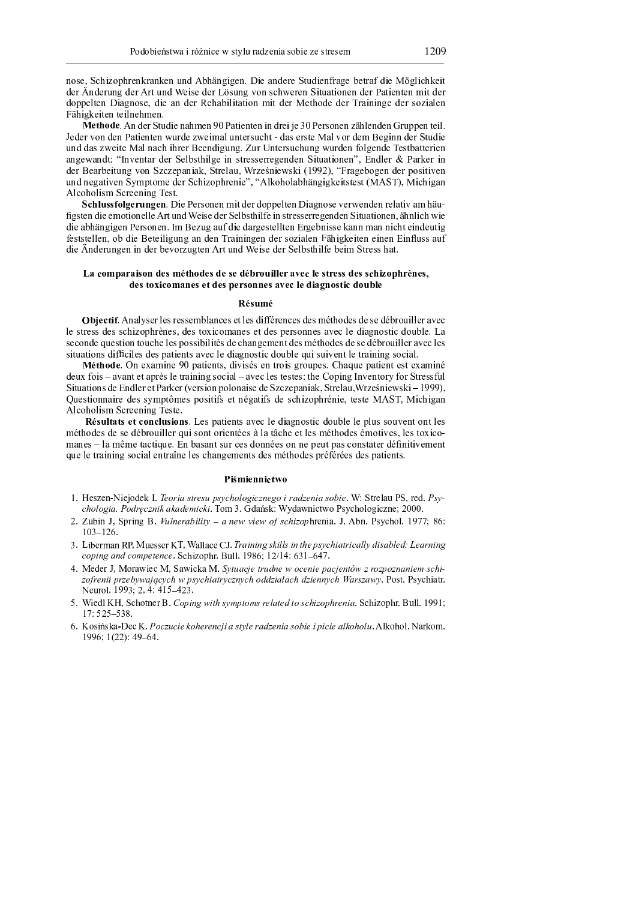1209

nose, Schizophrenkranken und Abhängigen. Die andere Studienfrage betraf die Möglichkeit der Änderung der Art und Weise der Lösung von schweren Situationen der Patienten mit der doppelten Diagnose, die an der Rehabilitation mit der Methode der Traininge der sozialen Fähigkeiten teilnehmen.

Methode. An der Studie nahmen 90 Patienten in drei je 30 Personen zählenden Gruppen teil. Jeder von den Patienten wurde zweimal untersucht - das erste Mal vor dem Beginn der Studie und das zweite Mal nach ihrer Beendigung. Zur Untersuchung wurden folgende Testbatterien angewandt: "Inventar der Selbsthilge in stresserregenden Situationen". Endler & Parker in der Bearbeitung von Szczepaniak, Strelau, Wrześniewski (1992), "Fragebogen der positiven und negativen Symptome der Schizophrenie", "Alkoholabhängigkeitstest (MAST), Michigan Alcoholism Screening Test.

Schlussfolgerungen. Die Personen mit der doppelten Diagnose verwenden relativ am häufigsten die emotionelle Art und Weise der Selbsthilfe in stresserregenden Situationen, ähnlich wie die abhängigen Personen. Im Bezug auf die dargestellten Ergebnisse kann man nicht eindeutig feststellen, ob die Beteiligung an den Trainingen der sozialen Fähigkeiten einen Einfluss auf die Änderungen in der bevorzugten Art und Weise der Selbsthilfe beim Stress hat.

#### La comparaison des méthodes de se débrouiller avec le stress des schizophrènes. des toxicomanes et des personnes avec le diagnostic double

#### Résumé

Objectif. Analyser les ressemblances et les différences des méthodes de se débrouiller avec le stress des schizophrènes, des toxicomanes et des personnes avec le diagnostic double. La seconde question touche les possibilités de changement des méthodes de se débrouiller avec les situations difficiles des patients avec le diagnostic double qui suivent le training social.

Méthode. On examine 90 patients, divisés en trois groupes. Chaque patient est examiné deux fois – avant et après le training social – avec les testes: the Coping Inventory for Stressful Situations de Endler et Parker (version polonaise de Szczepaniak, Strelau, Wrześniewski – 1999), Questionnaire des symptômes positifs et négatifs de schizophrénie, teste MAST, Michigan Alcoholism Screening Teste.

Résultats et conclusions. Les patients avec le diagnostic double le plus souvent ont les méthodes de se débrouiller qui sont orientées à la tâche et les méthodes émotives, les toxicomanes - la même tactique. En basant sur ces données on ne peut pas constater définitivement que le training social entraîne les changements des méthodes préférées des patients.

#### Piśmiennictwo

- 1. Heszen-Niejodek I. Teoria stresu psychologicznego i radzenia sobie. W: Strelau PS, red. Psychologia. Podręcznik akademicki. Tom 3. Gdańsk: Wydawnictwo Psychologiczne; 2000.
- 2. Zubin J, Spring B. Vulnerability a new view of schizophrenia. J. Abn. Psychol. 1977; 86:  $103 - 126$ .
- 3. Liberman RP, Muesser KT, Wallace CJ. Training skills in the psychiatrically disabled: Learning coping and competence. Schizophr. Bull. 1986; 12/14: 631-647.
- 4. Meder J, Morawiec M, Sawicka M. Sytuacje trudne w ocenie pacjentów z rozpoznaniem schizofrenii przebywających w psychiatrycznych oddziałach dziennych Warszawy. Post. Psychiatr. Neurol. 1993; 2, 4: 415-423.
- 5. Wiedl KH, Schotner B. Coping with symptoms related to schizophrenia. Schizophr. Bull. 1991; 17: 525-538.
- 6. Kosińska-Dec K. Poczucie koherencji a style radzenia sobie i picie alkoholu. Alkohol. Narkom. 1996; 1(22): 49-64.